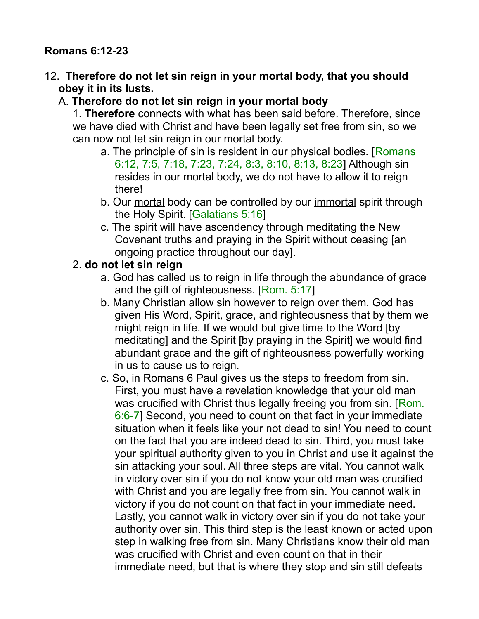#### **Romans 6:12-23**

12. **Therefore do not let sin reign in your mortal body, that you should obey it in its lusts.** 

#### A. **Therefore do not let sin reign in your mortal body**

1. **Therefore** connects with what has been said before. Therefore, since we have died with Christ and have been legally set free from sin, so we can now not let sin reign in our mortal body.

- a. The principle of sin is resident in our physical bodies. [Romans 6:12, 7:5, 7:18, 7:23, 7:24, 8:3, 8:10, 8:13, 8:23] Although sin resides in our mortal body, we do not have to allow it to reign there!
- b. Our mortal body can be controlled by our immortal spirit through the Holy Spirit. [Galatians 5:16]
- c. The spirit will have ascendency through meditating the New Covenant truths and praying in the Spirit without ceasing [an ongoing practice throughout our day].

#### 2. **do not let sin reign**

- a. God has called us to reign in life through the abundance of grace and the gift of righteousness. [Rom. 5:17]
- b. Many Christian allow sin however to reign over them. God has given His Word, Spirit, grace, and righteousness that by them we might reign in life. If we would but give time to the Word [by meditating] and the Spirit [by praying in the Spirit] we would find abundant grace and the gift of righteousness powerfully working in us to cause us to reign.
- c. So, in Romans 6 Paul gives us the steps to freedom from sin. First, you must have a revelation knowledge that your old man was crucified with Christ thus legally freeing you from sin. [Rom.] 6:6-7] Second, you need to count on that fact in your immediate situation when it feels like your not dead to sin! You need to count on the fact that you are indeed dead to sin. Third, you must take your spiritual authority given to you in Christ and use it against the sin attacking your soul. All three steps are vital. You cannot walk in victory over sin if you do not know your old man was crucified with Christ and you are legally free from sin. You cannot walk in victory if you do not count on that fact in your immediate need. Lastly, you cannot walk in victory over sin if you do not take your authority over sin. This third step is the least known or acted upon step in walking free from sin. Many Christians know their old man was crucified with Christ and even count on that in their immediate need, but that is where they stop and sin still defeats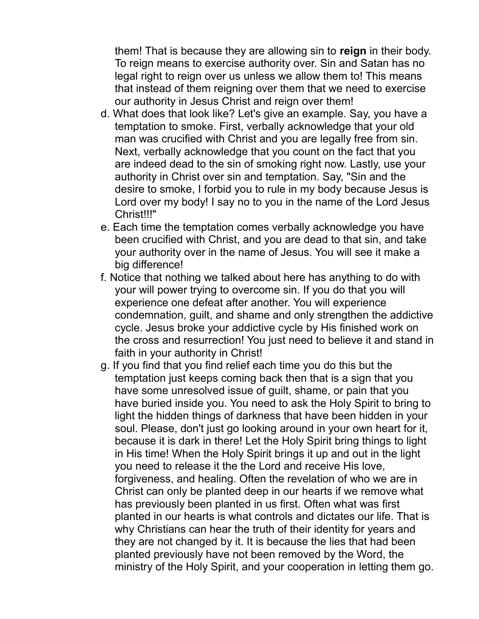them! That is because they are allowing sin to **reign** in their body. To reign means to exercise authority over. Sin and Satan has no legal right to reign over us unless we allow them to! This means that instead of them reigning over them that we need to exercise our authority in Jesus Christ and reign over them!

- d. What does that look like? Let's give an example. Say, you have a temptation to smoke. First, verbally acknowledge that your old man was crucified with Christ and you are legally free from sin. Next, verbally acknowledge that you count on the fact that you are indeed dead to the sin of smoking right now. Lastly, use your authority in Christ over sin and temptation. Say, "Sin and the desire to smoke, I forbid you to rule in my body because Jesus is Lord over my body! I say no to you in the name of the Lord Jesus Christ!!!"
- e. Each time the temptation comes verbally acknowledge you have been crucified with Christ, and you are dead to that sin, and take your authority over in the name of Jesus. You will see it make a big difference!
- f. Notice that nothing we talked about here has anything to do with your will power trying to overcome sin. If you do that you will experience one defeat after another. You will experience condemnation, guilt, and shame and only strengthen the addictive cycle. Jesus broke your addictive cycle by His finished work on the cross and resurrection! You just need to believe it and stand in faith in your authority in Christ!
- g. If you find that you find relief each time you do this but the temptation just keeps coming back then that is a sign that you have some unresolved issue of guilt, shame, or pain that you have buried inside you. You need to ask the Holy Spirit to bring to light the hidden things of darkness that have been hidden in your soul. Please, don't just go looking around in your own heart for it, because it is dark in there! Let the Holy Spirit bring things to light in His time! When the Holy Spirit brings it up and out in the light you need to release it the the Lord and receive His love, forgiveness, and healing. Often the revelation of who we are in Christ can only be planted deep in our hearts if we remove what has previously been planted in us first. Often what was first planted in our hearts is what controls and dictates our life. That is why Christians can hear the truth of their identity for years and they are not changed by it. It is because the lies that had been planted previously have not been removed by the Word, the ministry of the Holy Spirit, and your cooperation in letting them go.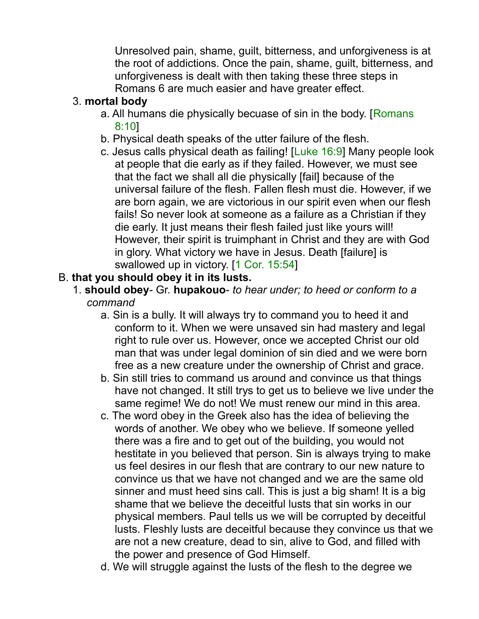Unresolved pain, shame, guilt, bitterness, and unforgiveness is at the root of addictions. Once the pain, shame, guilt, bitterness, and unforgiveness is dealt with then taking these three steps in Romans 6 are much easier and have greater effect.

#### 3. **mortal body**

- a. All humans die physically becuase of sin in the body. [Romans 8:10]
- b. Physical death speaks of the utter failure of the flesh.
- c. Jesus calls physical death as failing! [Luke 16:9] Many people look at people that die early as if they failed. However, we must see that the fact we shall all die physically [fail] because of the universal failure of the flesh. Fallen flesh must die. However, if we are born again, we are victorious in our spirit even when our flesh fails! So never look at someone as a failure as a Christian if they die early. It just means their flesh failed just like yours will! However, their spirit is truimphant in Christ and they are with God in glory. What victory we have in Jesus. Death [failure] is swallowed up in victory. [1 Cor. 15:54]

#### B. **that you should obey it in its lusts.**

- 1. **should obey** Gr. **hupakouo** *to hear under; to heed or conform to a command*
	- a. Sin is a bully. It will always try to command you to heed it and conform to it. When we were unsaved sin had mastery and legal right to rule over us. However, once we accepted Christ our old man that was under legal dominion of sin died and we were born free as a new creature under the ownership of Christ and grace.
	- b. Sin still tries to command us around and convince us that things have not changed. It still trys to get us to believe we live under the same regime! We do not! We must renew our mind in this area.
	- c. The word obey in the Greek also has the idea of believing the words of another. We obey who we believe. If someone yelled there was a fire and to get out of the building, you would not hestitate in you believed that person. Sin is always trying to make us feel desires in our flesh that are contrary to our new nature to convince us that we have not changed and we are the same old sinner and must heed sins call. This is just a big sham! It is a big shame that we believe the deceitful lusts that sin works in our physical members. Paul tells us we will be corrupted by deceitful lusts. Fleshly lusts are deceitful because they convince us that we are not a new creature, dead to sin, alive to God, and filled with the power and presence of God Himself.
	- d. We will struggle against the lusts of the flesh to the degree we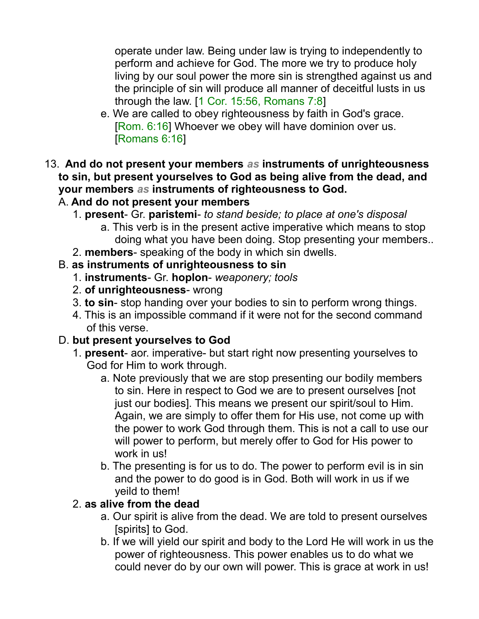operate under law. Being under law is trying to independently to perform and achieve for God. The more we try to produce holy living by our soul power the more sin is strengthed against us and the principle of sin will produce all manner of deceitful lusts in us through the law. [1 Cor. 15:56, Romans 7:8]

- e. We are called to obey righteousness by faith in God's grace. [Rom. 6:16] Whoever we obey will have dominion over us. [Romans 6:16]
- 13. **And do not present your members** *as* **instruments of unrighteousness to sin, but present yourselves to God as being alive from the dead, and your members** *as* **instruments of righteousness to God.**

## A. **And do not present your members**

- 1. **present** Gr. **paristemi** *to stand beside; to place at one's disposal*
	- a. This verb is in the present active imperative which means to stop doing what you have been doing. Stop presenting your members..
- 2. **members** speaking of the body in which sin dwells.

#### B. **as instruments of unrighteousness to sin**

- 1. **instruments** Gr. **hoplon** *weaponery; tools*
- 2. **of unrighteousness** wrong
- 3. **to sin** stop handing over your bodies to sin to perform wrong things.
- 4. This is an impossible command if it were not for the second command of this verse.

#### D. **but present yourselves to God**

- 1. **present** aor. imperative- but start right now presenting yourselves to God for Him to work through.
	- a. Note previously that we are stop presenting our bodily members to sin. Here in respect to God we are to present ourselves [not just our bodies]. This means we present our spirit/soul to Him. Again, we are simply to offer them for His use, not come up with the power to work God through them. This is not a call to use our will power to perform, but merely offer to God for His power to work in us!
	- b. The presenting is for us to do. The power to perform evil is in sin and the power to do good is in God. Both will work in us if we yeild to them!

#### 2. **as alive from the dead**

- a. Our spirit is alive from the dead. We are told to present ourselves [spirits] to God.
- b. If we will yield our spirit and body to the Lord He will work in us the power of righteousness. This power enables us to do what we could never do by our own will power. This is grace at work in us!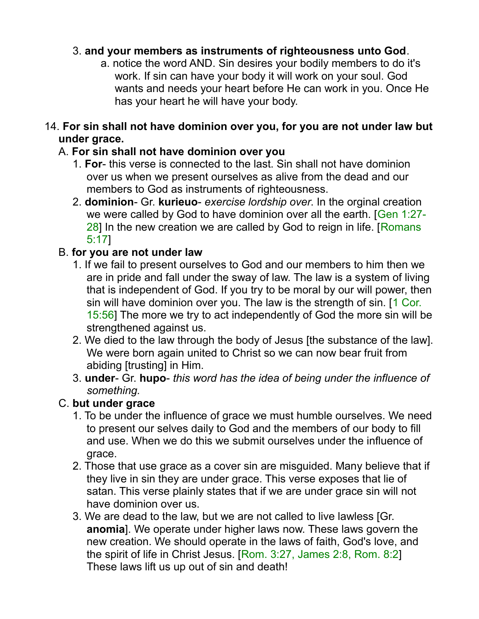#### 3. **and your members as instruments of righteousness unto God**.

a. notice the word AND. Sin desires your bodily members to do it's work. If sin can have your body it will work on your soul. God wants and needs your heart before He can work in you. Once He has your heart he will have your body.

#### 14. **For sin shall not have dominion over you, for you are not under law but under grace.**

#### A. **For sin shall not have dominion over you**

- 1. **For** this verse is connected to the last. Sin shall not have dominion over us when we present ourselves as alive from the dead and our members to God as instruments of righteousness.
- 2. **dominion** Gr. **kurieuo** *exercise lordship over*. In the orginal creation we were called by God to have dominion over all the earth. [Gen 1:27- 28] In the new creation we are called by God to reign in life. [Romans 5:17]

#### B. **for you are not under law**

- 1. If we fail to present ourselves to God and our members to him then we are in pride and fall under the sway of law. The law is a system of living that is independent of God. If you try to be moral by our will power, then sin will have dominion over you. The law is the strength of sin. [1 Cor.] 15:56] The more we try to act independently of God the more sin will be strengthened against us.
- 2. We died to the law through the body of Jesus [the substance of the law]. We were born again united to Christ so we can now bear fruit from abiding [trusting] in Him.
- 3. **under** Gr. **hupo** *this word has the idea of being under the influence of something.*

#### C. **but under grace**

- 1. To be under the influence of grace we must humble ourselves. We need to present our selves daily to God and the members of our body to fill and use. When we do this we submit ourselves under the influence of grace.
- 2. Those that use grace as a cover sin are misguided. Many believe that if they live in sin they are under grace. This verse exposes that lie of satan. This verse plainly states that if we are under grace sin will not have dominion over us.
- 3. We are dead to the law, but we are not called to live lawless [Gr. **anomia**]. We operate under higher laws now. These laws govern the new creation. We should operate in the laws of faith, God's love, and the spirit of life in Christ Jesus. [Rom. 3:27, James 2:8, Rom. 8:2] These laws lift us up out of sin and death!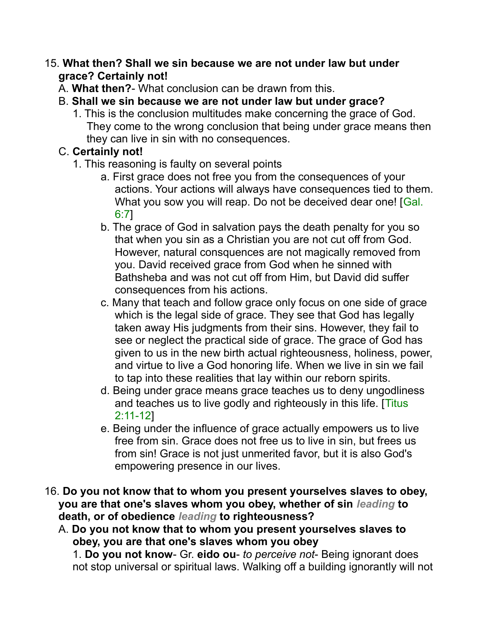#### 15. **What then? Shall we sin because we are not under law but under grace? Certainly not!**

- A. **What then?** What conclusion can be drawn from this.
- B. **Shall we sin because we are not under law but under grace?**
	- 1. This is the conclusion multitudes make concerning the grace of God. They come to the wrong conclusion that being under grace means then they can live in sin with no consequences.

## C. **Certainly not!**

- 1. This reasoning is faulty on several points
	- a. First grace does not free you from the consequences of your actions. Your actions will always have consequences tied to them. What you sow you will reap. Do not be deceived dear one! [Gal. 6:7]
	- b. The grace of God in salvation pays the death penalty for you so that when you sin as a Christian you are not cut off from God. However, natural consquences are not magically removed from you. David received grace from God when he sinned with Bathsheba and was not cut off from Him, but David did suffer consequences from his actions.
	- c. Many that teach and follow grace only focus on one side of grace which is the legal side of grace. They see that God has legally taken away His judgments from their sins. However, they fail to see or neglect the practical side of grace. The grace of God has given to us in the new birth actual righteousness, holiness, power, and virtue to live a God honoring life. When we live in sin we fail to tap into these realities that lay within our reborn spirits.
	- d. Being under grace means grace teaches us to deny ungodliness and teaches us to live godly and righteously in this life. [Titus] 2:11-12]
	- e. Being under the influence of grace actually empowers us to live free from sin. Grace does not free us to live in sin, but frees us from sin! Grace is not just unmerited favor, but it is also God's empowering presence in our lives.
- 16. **Do you not know that to whom you present yourselves slaves to obey, you are that one's slaves whom you obey, whether of sin** *leading* **to death, or of obedience** *leading* **to righteousness?** 
	- A. **Do you not know that to whom you present yourselves slaves to obey, you are that one's slaves whom you obey**

1. **Do you not know**- Gr. **eido ou**- *to perceive not*- Being ignorant does not stop universal or spiritual laws. Walking off a building ignorantly will not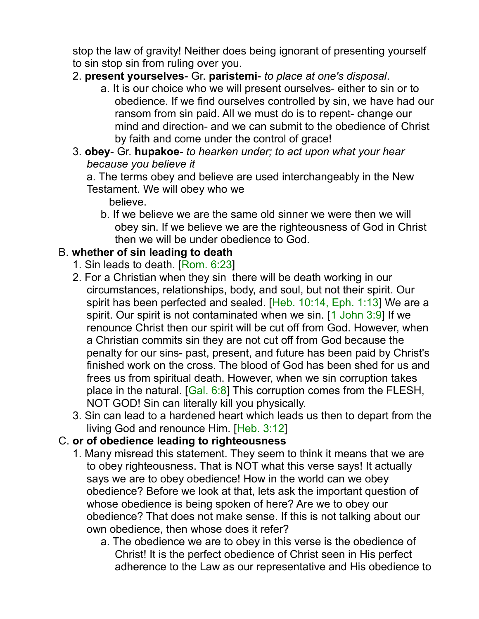stop the law of gravity! Neither does being ignorant of presenting yourself to sin stop sin from ruling over you.

- 2. **present yourselves** Gr. **paristemi** *to place at one's disposal*.
	- a. It is our choice who we will present ourselves- either to sin or to obedience. If we find ourselves controlled by sin, we have had our ransom from sin paid. All we must do is to repent- change our mind and direction- and we can submit to the obedience of Christ by faith and come under the control of grace!
- 3. **obey** Gr. **hupakoe** *to hearken under; to act upon what your hear because you believe it*

a. The terms obey and believe are used interchangeably in the New Testament. We will obey who we

believe.

b. If we believe we are the same old sinner we were then we will obey sin. If we believe we are the righteousness of God in Christ then we will be under obedience to God.

#### B. **whether of sin leading to death**

- 1. Sin leads to death. [Rom. 6:23]
- 2. For a Christian when they sin there will be death working in our circumstances, relationships, body, and soul, but not their spirit. Our spirit has been perfected and sealed. [Heb. 10:14, Eph. 1:13] We are a spirit. Our spirit is not contaminated when we sin. [1 John 3:9] If we renounce Christ then our spirit will be cut off from God. However, when a Christian commits sin they are not cut off from God because the penalty for our sins- past, present, and future has been paid by Christ's finished work on the cross. The blood of God has been shed for us and frees us from spiritual death. However, when we sin corruption takes place in the natural. [Gal. 6:8] This corruption comes from the FLESH, NOT GOD! Sin can literally kill you physically.
- 3. Sin can lead to a hardened heart which leads us then to depart from the living God and renounce Him. [Heb. 3:12]

#### C. **or of obedience leading to righteousness**

- 1. Many misread this statement. They seem to think it means that we are to obey righteousness. That is NOT what this verse says! It actually says we are to obey obedience! How in the world can we obey obedience? Before we look at that, lets ask the important question of whose obedience is being spoken of here? Are we to obey our obedience? That does not make sense. If this is not talking about our own obedience, then whose does it refer?
	- a. The obedience we are to obey in this verse is the obedience of Christ! It is the perfect obedience of Christ seen in His perfect adherence to the Law as our representative and His obedience to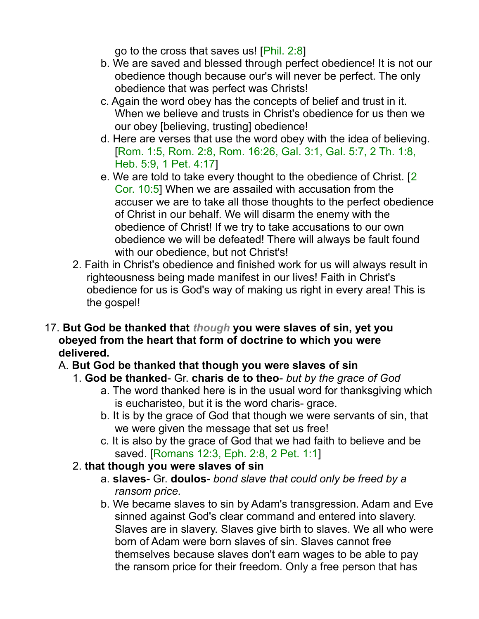go to the cross that saves us! [Phil. 2:8]

- b. We are saved and blessed through perfect obedience! It is not our obedience though because our's will never be perfect. The only obedience that was perfect was Christs!
- c. Again the word obey has the concepts of belief and trust in it. When we believe and trusts in Christ's obedience for us then we our obey [believing, trusting] obedience!
- d. Here are verses that use the word obey with the idea of believing. [Rom. 1:5, Rom. 2:8, Rom. 16:26, Gal. 3:1, Gal. 5:7, 2 Th. 1:8, Heb. 5:9, 1 Pet. 4:17]
- e. We are told to take every thought to the obedience of Christ. [2 Cor. 10:5] When we are assailed with accusation from the accuser we are to take all those thoughts to the perfect obedience of Christ in our behalf. We will disarm the enemy with the obedience of Christ! If we try to take accusations to our own obedience we will be defeated! There will always be fault found with our obedience, but not Christ's!
- 2. Faith in Christ's obedience and finished work for us will always result in righteousness being made manifest in our lives! Faith in Christ's obedience for us is God's way of making us right in every area! This is the gospel!
- 17. **But God be thanked that** *though* **you were slaves of sin, yet you obeyed from the heart that form of doctrine to which you were delivered.**

## A. **But God be thanked that though you were slaves of sin**

- 1. **God be thanked** Gr. **charis de to theo** *but by the grace of God*
	- a. The word thanked here is in the usual word for thanksgiving which is eucharisteo, but it is the word charis- grace.
	- b. It is by the grace of God that though we were servants of sin, that we were given the message that set us free!
	- c. It is also by the grace of God that we had faith to believe and be saved. [Romans 12:3, Eph. 2:8, 2 Pet. 1:1]
- 2. **that though you were slaves of sin**
	- a. **slaves** Gr. **doulos** *bond slave that could only be freed by a ransom price.*
	- b. We became slaves to sin by Adam's transgression. Adam and Eve sinned against God's clear command and entered into slavery. Slaves are in slavery. Slaves give birth to slaves. We all who were born of Adam were born slaves of sin. Slaves cannot free themselves because slaves don't earn wages to be able to pay the ransom price for their freedom. Only a free person that has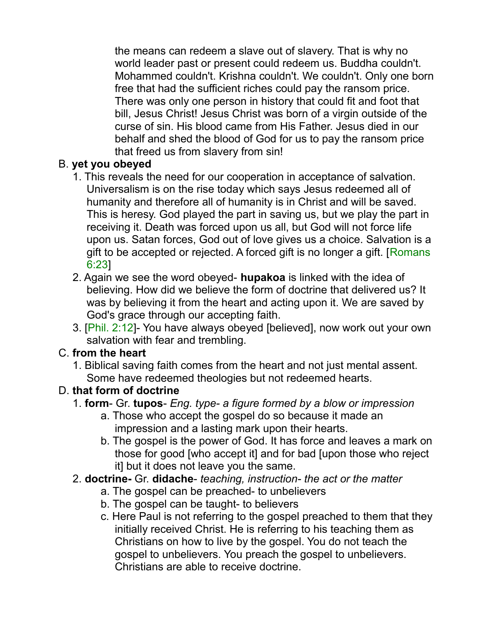the means can redeem a slave out of slavery. That is why no world leader past or present could redeem us. Buddha couldn't. Mohammed couldn't. Krishna couldn't. We couldn't. Only one born free that had the sufficient riches could pay the ransom price. There was only one person in history that could fit and foot that bill, Jesus Christ! Jesus Christ was born of a virgin outside of the curse of sin. His blood came from His Father. Jesus died in our behalf and shed the blood of God for us to pay the ransom price that freed us from slavery from sin!

#### B. **yet you obeyed**

- 1. This reveals the need for our cooperation in acceptance of salvation. Universalism is on the rise today which says Jesus redeemed all of humanity and therefore all of humanity is in Christ and will be saved. This is heresy. God played the part in saving us, but we play the part in receiving it. Death was forced upon us all, but God will not force life upon us. Satan forces, God out of love gives us a choice. Salvation is a gift to be accepted or rejected. A forced gift is no longer a gift. [Romans 6:23]
- 2. Again we see the word obeyed- **hupakoa** is linked with the idea of believing. How did we believe the form of doctrine that delivered us? It was by believing it from the heart and acting upon it. We are saved by God's grace through our accepting faith.
- 3. [Phil. 2:12]- You have always obeyed [believed], now work out your own salvation with fear and trembling.

#### C. **from the heart**

1. Biblical saving faith comes from the heart and not just mental assent. Some have redeemed theologies but not redeemed hearts.

## D. **that form of doctrine**

- 1. **form** Gr. **tupos** *Eng. type- a figure formed by a blow or impression*
	- a. Those who accept the gospel do so because it made an impression and a lasting mark upon their hearts.
	- b. The gospel is the power of God. It has force and leaves a mark on those for good [who accept it] and for bad [upon those who reject it] but it does not leave you the same.
- 2. **doctrine-** Gr. **didache** *teaching, instruction- the act or the matter*
	- a. The gospel can be preached- to unbelievers
	- b. The gospel can be taught- to believers
	- c. Here Paul is not referring to the gospel preached to them that they initially received Christ. He is referring to his teaching them as Christians on how to live by the gospel. You do not teach the gospel to unbelievers. You preach the gospel to unbelievers. Christians are able to receive doctrine.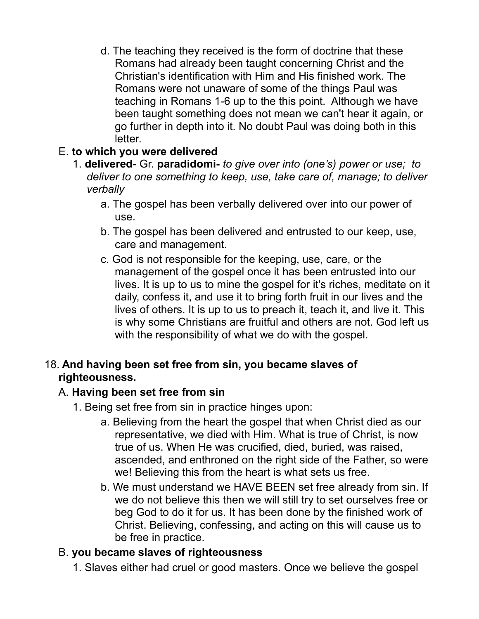d. The teaching they received is the form of doctrine that these Romans had already been taught concerning Christ and the Christian's identification with Him and His finished work. The Romans were not unaware of some of the things Paul was teaching in Romans 1-6 up to the this point. Although we have been taught something does not mean we can't hear it again, or go further in depth into it. No doubt Paul was doing both in this letter.

#### E. **to which you were delivered**

- 1. **delivered** Gr. **paradidomi-** *to give over into (one's) power or use; to deliver to one something to keep, use, take care of, manage; to deliver verbally*
	- a. The gospel has been verbally delivered over into our power of use.
	- b. The gospel has been delivered and entrusted to our keep, use, care and management.
	- c. God is not responsible for the keeping, use, care, or the management of the gospel once it has been entrusted into our lives. It is up to us to mine the gospel for it's riches, meditate on it daily, confess it, and use it to bring forth fruit in our lives and the lives of others. It is up to us to preach it, teach it, and live it. This is why some Christians are fruitful and others are not. God left us with the responsibility of what we do with the gospel.

#### 18. **And having been set free from sin, you became slaves of righteousness.**

#### A. **Having been set free from sin**

- 1. Being set free from sin in practice hinges upon:
	- a. Believing from the heart the gospel that when Christ died as our representative, we died with Him. What is true of Christ, is now true of us. When He was crucified, died, buried, was raised, ascended, and enthroned on the right side of the Father, so were we! Believing this from the heart is what sets us free.
	- b. We must understand we HAVE BEEN set free already from sin. If we do not believe this then we will still try to set ourselves free or beg God to do it for us. It has been done by the finished work of Christ. Believing, confessing, and acting on this will cause us to be free in practice.

#### B. **you became slaves of righteousness**

1. Slaves either had cruel or good masters. Once we believe the gospel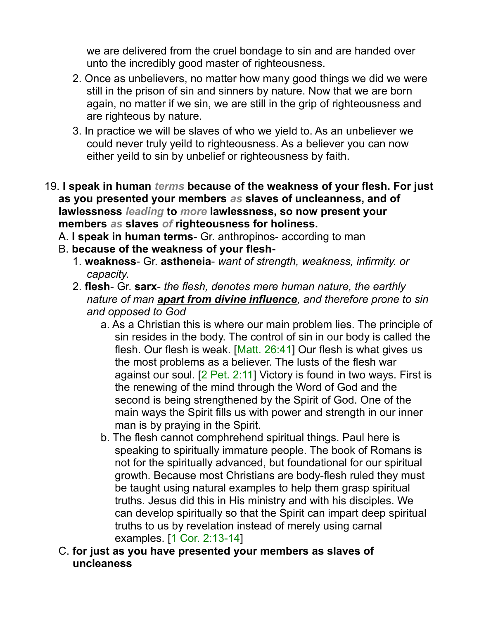we are delivered from the cruel bondage to sin and are handed over unto the incredibly good master of righteousness.

- 2. Once as unbelievers, no matter how many good things we did we were still in the prison of sin and sinners by nature. Now that we are born again, no matter if we sin, we are still in the grip of righteousness and are righteous by nature.
- 3. In practice we will be slaves of who we yield to. As an unbeliever we could never truly yeild to righteousness. As a believer you can now either yeild to sin by unbelief or righteousness by faith.
- 19. **I speak in human** *terms* **because of the weakness of your flesh. For just as you presented your members** *as* **slaves of uncleanness, and of lawlessness** *leading* **to** *more* **lawlessness, so now present your members** *as* **slaves** *of* **righteousness for holiness.** 
	- A. **I speak in human terms** Gr. anthropinos- according to man
	- B. **because of the weakness of your flesh**-
		- 1. **weakness** Gr. **astheneia** *want of strength, weakness, infirmity. or capacity*.
		- 2. **flesh** Gr. **sarx** *the flesh, denotes mere human nature, the earthly nature of man apart from divine influence, and therefore prone to sin and opposed to God*
			- a. As a Christian this is where our main problem lies. The principle of sin resides in the body. The control of sin in our body is called the flesh. Our flesh is weak. [Matt. 26:41] Our flesh is what gives us the most problems as a believer. The lusts of the flesh war against our soul. [2 Pet. 2:11] Victory is found in two ways. First is the renewing of the mind through the Word of God and the second is being strengthened by the Spirit of God. One of the main ways the Spirit fills us with power and strength in our inner man is by praying in the Spirit.
			- b. The flesh cannot comphrehend spiritual things. Paul here is speaking to spiritually immature people. The book of Romans is not for the spiritually advanced, but foundational for our spiritual growth. Because most Christians are body-flesh ruled they must be taught using natural examples to help them grasp spiritual truths. Jesus did this in His ministry and with his disciples. We can develop spiritually so that the Spirit can impart deep spiritual truths to us by revelation instead of merely using carnal examples. [1 Cor. 2:13-14]
	- C. **for just as you have presented your members as slaves of uncleaness**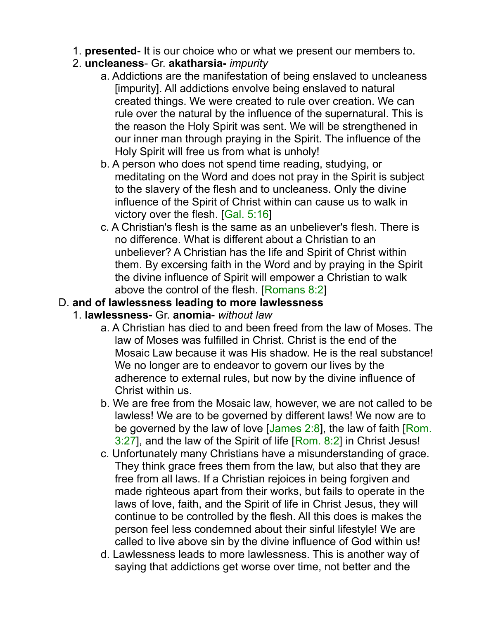- 1. **presented** It is our choice who or what we present our members to.
- 2. **uncleaness** Gr. **akatharsia-** *impurity*
	- a. Addictions are the manifestation of being enslaved to uncleaness [impurity]. All addictions envolve being enslaved to natural created things. We were created to rule over creation. We can rule over the natural by the influence of the supernatural. This is the reason the Holy Spirit was sent. We will be strengthened in our inner man through praying in the Spirit. The influence of the Holy Spirit will free us from what is unholy!
	- b. A person who does not spend time reading, studying, or meditating on the Word and does not pray in the Spirit is subject to the slavery of the flesh and to uncleaness. Only the divine influence of the Spirit of Christ within can cause us to walk in victory over the flesh. [Gal. 5:16]
	- c. A Christian's flesh is the same as an unbeliever's flesh. There is no difference. What is different about a Christian to an unbeliever? A Christian has the life and Spirit of Christ within them. By excersing faith in the Word and by praying in the Spirit the divine influence of Spirit will empower a Christian to walk above the control of the flesh. [Romans 8:2]

#### D. **and of lawlessness leading to more lawlessness**

- 1. **lawlessness** Gr. **anomia** *without law*
	- a. A Christian has died to and been freed from the law of Moses. The law of Moses was fulfilled in Christ. Christ is the end of the Mosaic Law because it was His shadow. He is the real substance! We no longer are to endeavor to govern our lives by the adherence to external rules, but now by the divine influence of Christ within us.
	- b. We are free from the Mosaic law, however, we are not called to be lawless! We are to be governed by different laws! We now are to be governed by the law of love  $[James 2:8]$ , the law of faith  $[Rom.$ 3:27], and the law of the Spirit of life [Rom. 8:2] in Christ Jesus!
	- c. Unfortunately many Christians have a misunderstanding of grace. They think grace frees them from the law, but also that they are free from all laws. If a Christian rejoices in being forgiven and made righteous apart from their works, but fails to operate in the laws of love, faith, and the Spirit of life in Christ Jesus, they will continue to be controlled by the flesh. All this does is makes the person feel less condemned about their sinful lifestyle! We are called to live above sin by the divine influence of God within us!
	- d. Lawlessness leads to more lawlessness. This is another way of saying that addictions get worse over time, not better and the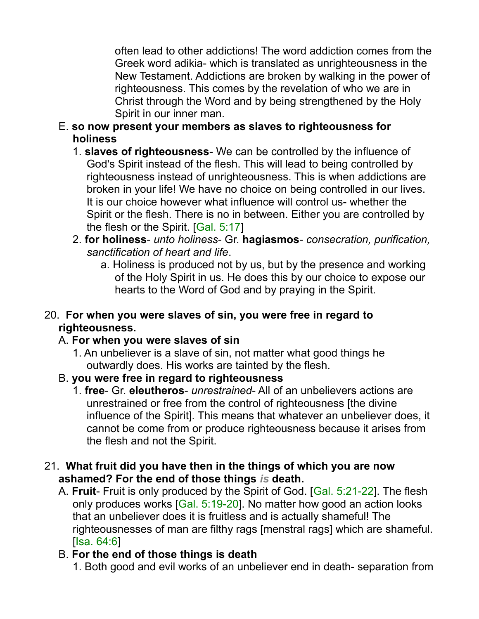often lead to other addictions! The word addiction comes from the Greek word adikia- which is translated as unrighteousness in the New Testament. Addictions are broken by walking in the power of righteousness. This comes by the revelation of who we are in Christ through the Word and by being strengthened by the Holy Spirit in our inner man.

- E. **so now present your members as slaves to righteousness for holiness**
	- 1. **slaves of righteousness** We can be controlled by the influence of God's Spirit instead of the flesh. This will lead to being controlled by righteousness instead of unrighteousness. This is when addictions are broken in your life! We have no choice on being controlled in our lives. It is our choice however what influence will control us- whether the Spirit or the flesh. There is no in between. Either you are controlled by the flesh or the Spirit. [Gal. 5:17]
	- 2. **for holiness** *unto holiness* Gr. **hagiasmos** *consecration, purification, sanctification of heart and life*.
		- a. Holiness is produced not by us, but by the presence and working of the Holy Spirit in us. He does this by our choice to expose our hearts to the Word of God and by praying in the Spirit.

#### 20. **For when you were slaves of sin, you were free in regard to righteousness.**

#### A. **For when you were slaves of sin**

- 1. An unbeliever is a slave of sin, not matter what good things he outwardly does. His works are tainted by the flesh.
- B. **you were free in regard to righteousness**
	- 1. **free** Gr. **eleutheros** *unrestrained* All of an unbelievers actions are unrestrained or free from the control of righteousness [the divine influence of the Spirit]. This means that whatever an unbeliever does, it cannot be come from or produce righteousness because it arises from the flesh and not the Spirit.
- 21. **What fruit did you have then in the things of which you are now ashamed? For the end of those things** *is* **death.** 
	- A. **Fruit** Fruit is only produced by the Spirit of God. [Gal. 5:21-22]. The flesh only produces works [Gal. 5:19-20]. No matter how good an action looks that an unbeliever does it is fruitless and is actually shameful! The righteousnesses of man are filthy rags [menstral rags] which are shameful. [Isa. 64:6]
	- B. **For the end of those things is death**

1. Both good and evil works of an unbeliever end in death- separation from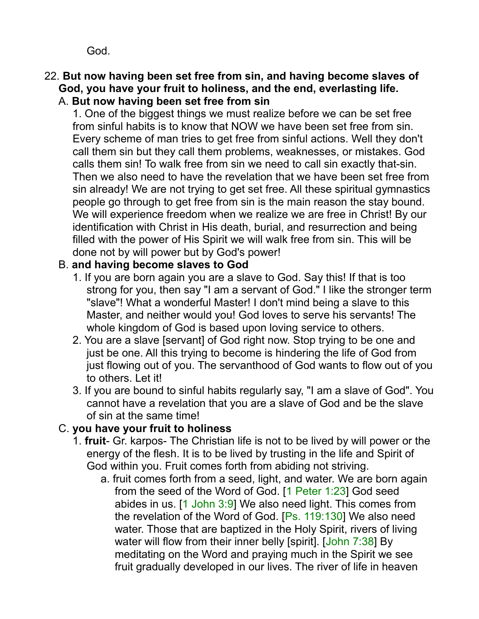God.

## 22. **But now having been set free from sin, and having become slaves of God, you have your fruit to holiness, and the end, everlasting life.**

# A. **But now having been set free from sin**

1. One of the biggest things we must realize before we can be set free from sinful habits is to know that NOW we have been set free from sin. Every scheme of man tries to get free from sinful actions. Well they don't call them sin but they call them problems, weaknesses, or mistakes. God calls them sin! To walk free from sin we need to call sin exactly that-sin. Then we also need to have the revelation that we have been set free from sin already! We are not trying to get set free. All these spiritual gymnastics people go through to get free from sin is the main reason the stay bound. We will experience freedom when we realize we are free in Christ! By our identification with Christ in His death, burial, and resurrection and being filled with the power of His Spirit we will walk free from sin. This will be done not by will power but by God's power!

#### B. **and having become slaves to God**

- 1. If you are born again you are a slave to God. Say this! If that is too strong for you, then say "I am a servant of God." I like the stronger term "slave"! What a wonderful Master! I don't mind being a slave to this Master, and neither would you! God loves to serve his servants! The whole kingdom of God is based upon loving service to others.
- 2. You are a slave [servant] of God right now. Stop trying to be one and just be one. All this trying to become is hindering the life of God from just flowing out of you. The servanthood of God wants to flow out of you to others. Let it!
- 3. If you are bound to sinful habits regularly say, "I am a slave of God". You cannot have a revelation that you are a slave of God and be the slave of sin at the same time!

#### C. **you have your fruit to holiness**

- 1. **fruit** Gr. karpos- The Christian life is not to be lived by will power or the energy of the flesh. It is to be lived by trusting in the life and Spirit of God within you. Fruit comes forth from abiding not striving.
	- a. fruit comes forth from a seed, light, and water. We are born again from the seed of the Word of God. [1 Peter 1:23] God seed abides in us. [1 John 3:9] We also need light. This comes from the revelation of the Word of God. [Ps. 119:130] We also need water. Those that are baptized in the Holy Spirit, rivers of living water will flow from their inner belly [spirit]. [John 7:38] By meditating on the Word and praying much in the Spirit we see fruit gradually developed in our lives. The river of life in heaven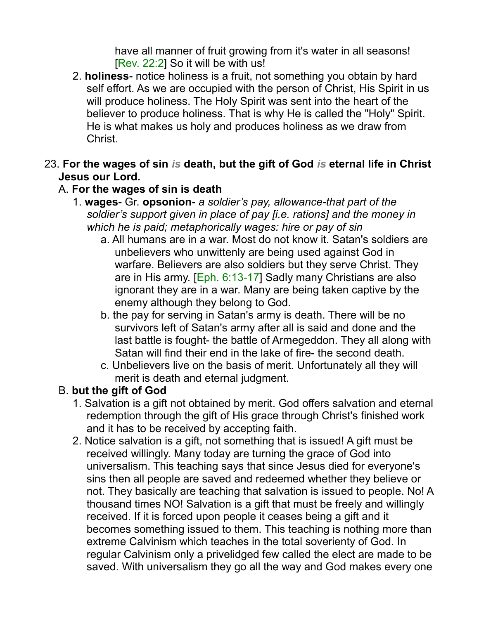have all manner of fruit growing from it's water in all seasons! [Rev. 22:2] So it will be with us!

- 2. **holiness** notice holiness is a fruit, not something you obtain by hard self effort. As we are occupied with the person of Christ, His Spirit in us will produce holiness. The Holy Spirit was sent into the heart of the believer to produce holiness. That is why He is called the "Holy" Spirit. He is what makes us holy and produces holiness as we draw from Christ.
- 23. **For the wages of sin** *is* **death, but the gift of God** *is* **eternal life in Christ Jesus our Lord.**

#### A. **For the wages of sin is death**

- 1. **wages** Gr. **opsonion** *a soldier's pay, allowance-that part of the soldier's support given in place of pay [i.e. rations] and the money in which he is paid; metaphorically wages: hire or pay of sin*
	- a. All humans are in a war. Most do not know it. Satan's soldiers are unbelievers who unwittenly are being used against God in warfare. Believers are also soldiers but they serve Christ. They are in His army. [Eph. 6:13-17] Sadly many Christians are also ignorant they are in a war. Many are being taken captive by the enemy although they belong to God.
	- b. the pay for serving in Satan's army is death. There will be no survivors left of Satan's army after all is said and done and the last battle is fought- the battle of Armegeddon. They all along with Satan will find their end in the lake of fire- the second death.
	- c. Unbelievers live on the basis of merit. Unfortunately all they will merit is death and eternal judgment.

#### B. **but the gift of God**

- 1. Salvation is a gift not obtained by merit. God offers salvation and eternal redemption through the gift of His grace through Christ's finished work and it has to be received by accepting faith.
- 2. Notice salvation is a gift, not something that is issued! A gift must be received willingly. Many today are turning the grace of God into universalism. This teaching says that since Jesus died for everyone's sins then all people are saved and redeemed whether they believe or not. They basically are teaching that salvation is issued to people. No! A thousand times NO! Salvation is a gift that must be freely and willingly received. If it is forced upon people it ceases being a gift and it becomes something issued to them. This teaching is nothing more than extreme Calvinism which teaches in the total soverienty of God. In regular Calvinism only a privelidged few called the elect are made to be saved. With universalism they go all the way and God makes every one